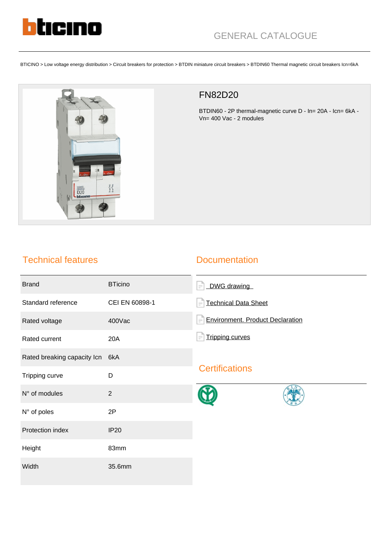

BTICINO > Low voltage energy distribution > Circuit breakers for protection > BTDIN miniature circuit breakers > BTDIN60 Thermal magnetic circuit breakers Icn=6kA



## FN82D20

BTDIN60 - 2P thermal-magnetic curve D - In= 20A - Icn= 6kA - Vn= 400 Vac - 2 modules

## Technical features

#### **Documentation**

| <b>Brand</b>                    | <b>BTicino</b> | DWG drawing<br>$\equiv$                             |
|---------------------------------|----------------|-----------------------------------------------------|
| Standard reference              | CEI EN 60898-1 | <b>Technical Data Sheet</b>                         |
| Rated voltage                   | 400Vac         | <b>Environment. Product Declaration</b><br>$\equiv$ |
| Rated current                   | 20A            | <b>Tripping curves</b>                              |
| Rated breaking capacity Icn 6kA |                | <b>Certifications</b>                               |
| Tripping curve                  | D              |                                                     |
| N° of modules                   | $\overline{2}$ |                                                     |
| N° of poles                     | 2P             |                                                     |
| Protection index                | <b>IP20</b>    |                                                     |
| Height                          | 83mm           |                                                     |
| Width                           | 35.6mm         |                                                     |